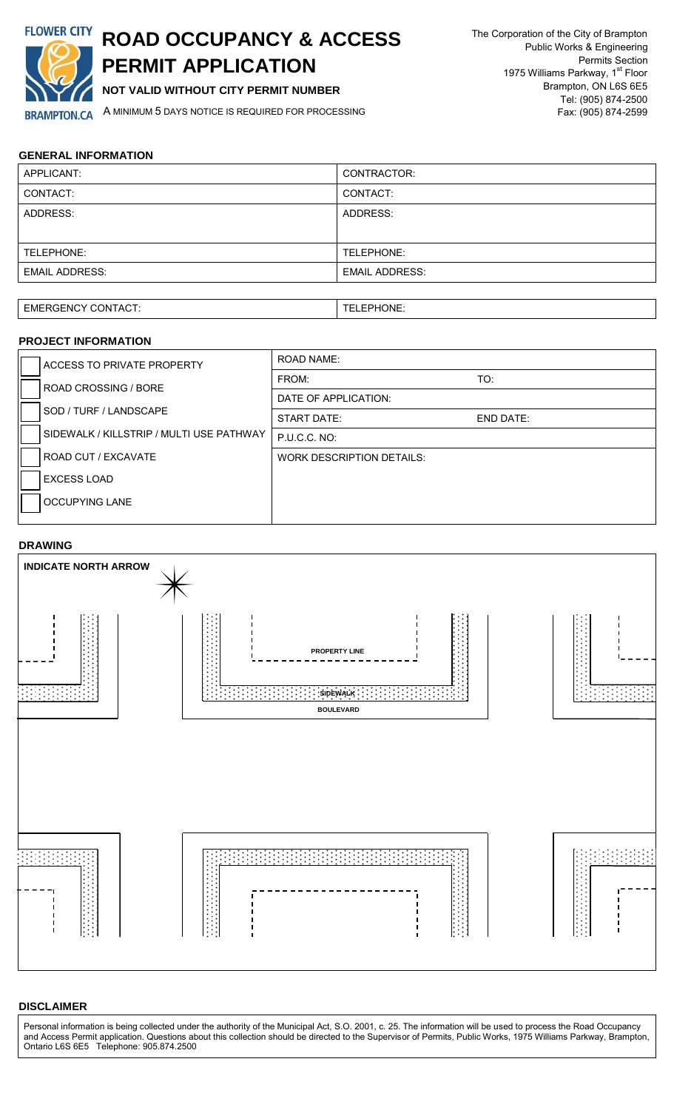

# **ROAD OCCUPANCY & ACCESS PERMIT APPLICATION**

**NOT VALID WITHOUT CITY PERMIT NUMBER**

A MINIMUM 5 DAYS NOTICE IS REQUIRED FOR PROCESSING

## **GENERAL INFORMATION**

| APPLICANT:            | CONTRACTOR:           |
|-----------------------|-----------------------|
| CONTACT:              | CONTACT:              |
| ADDRESS:              | ADDRESS:              |
|                       |                       |
| TELEPHONE:            | TELEPHONE:            |
| <b>EMAIL ADDRESS:</b> | <b>EMAIL ADDRESS:</b> |
|                       |                       |

TELEPHONE:

### **PROJECT INFORMATION**  ACCESS TO PRIVATE PROPERTY ROAD CROSSING / BORE SOD / TURF / LANDSCAPE SIDEWALK / KILLSTRIP / MULTI USE PATHWAY ROAD CUT / EXCAVATE EXCESS LOAD OCCUPYING LANE ROAD NAME: FROM: TO: DATE OF APPLICATION: START DATE: END DATE: P.U.C.C. NO: WORK DESCRIPTION DETAILS:

## **DRAWING**



## **DISCLAIMER**

Personal information is being collected under the authority of the Municipal Act, S.O. 2001, c. 25. The information will be used to process the Road Occupancy and Access Permit application. Questions about this collection should be directed to the Supervisor of Permits, Public Works, 1975 Williams Parkway, Brampton, Ontario L6S 6E5 Telephone: 905.874.2500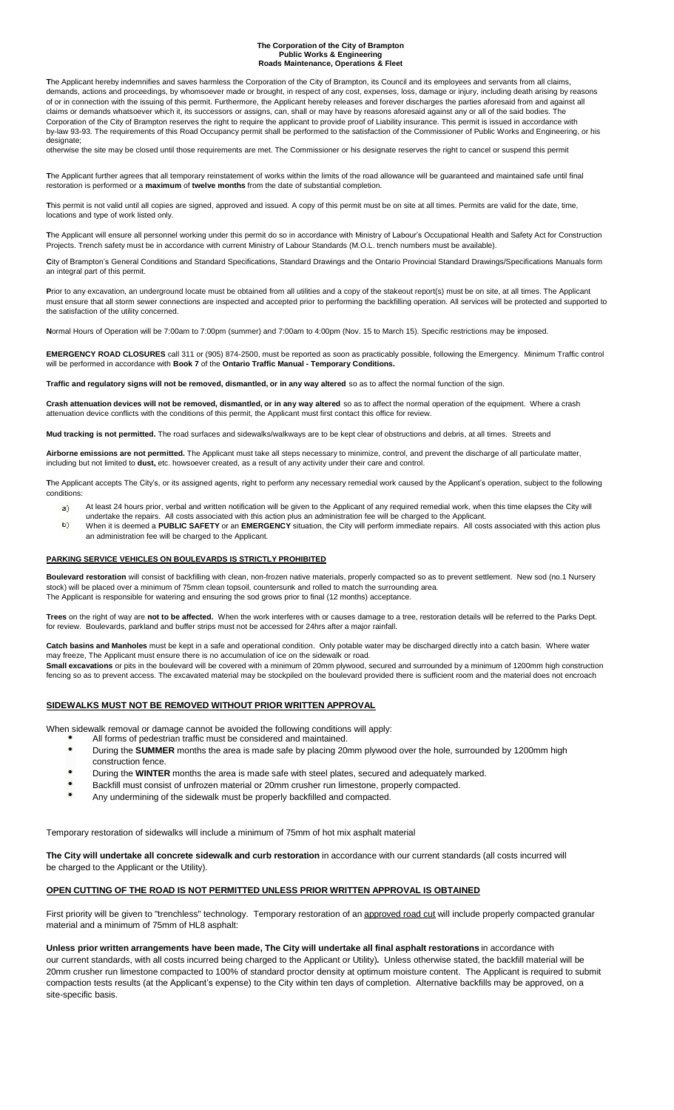#### **The Corporation of the City of Brampton Public Works & Engineering Roads Maintenance, Operations & Fleet**

**T**he Applicant hereby indemnifies and saves harmless the Corporation of the City of Brampton, its Council and its employees and servants from all claims, demands, actions and proceedings, by whomsoever made or brought, in respect of any cost, expenses, loss, damage or injury, including death arising by reasons of or in connection with the issuing of this permit. Furthermore, the Applicant hereby releases and forever discharges the parties aforesaid from and against all claims or demands whatsoever which it, its successors or assigns, can, shall or may have by reasons aforesaid against any or all of the said bodies. The Corporation of the City of Brampton reserves the right to require the applicant to provide proof of Liability insurance. This permit is issued in accordance with by-law 93-93. The requirements of this Road Occupancy permit shall be performed to the satisfaction of the Commissioner of Public Works and Engineering, or his designate;

otherwise the site may be closed until those requirements are met. The Commissioner or his designate reserves the right to cancel or suspend this permit

**T**he Applicant further agrees that all temporary reinstatement of works within the limits of the road allowance will be guaranteed and maintained safe until final restoration is performed or a **maximum** of **twelve months** from the date of substantial completion.

**T**his permit is not valid until all copies are signed, approved and issued. A copy of this permit must be on site at all times. Permits are valid for the date, time, locations and type of work listed only.

**T**he Applicant will ensure all personnel working under this permit do so in accordance with Ministry of Labour's Occupational Health and Safety Act for Construction Projects. Trench safety must be in accordance with current Ministry of Labour Standards (M.O.L. trench numbers must be available).

**C**ity of Brampton's General Conditions and Standard Specifications, Standard Drawings and the Ontario Provincial Standard Drawings/Specifications Manuals form an integral part of this permit.

Prior to any excavation, an underground locate must be obtained from all utilities and a copy of the stakeout report(s) must be on site, at all times. The Applicant must ensure that all storm sewer connections are inspected and accepted prior to performing the backfilling operation. All services will be protected and supported to the satisfaction of the utility concerned.

**Normal Hours of Operation will be 7:00am to 7:00pm (summer) and 7:00am to 4:00pm (Nov. 15 to March 15). Specific restrictions may be imposed.** 

**EMERGENCY ROAD CLOSURES** call 311 or (905) 874-2500, must be reported as soon as practicably possible, following the Emergency. Minimum Traffic control will be performed in accordance with **Book 7** of the **Ontario Traffic Manual - Temporary Conditions.**

Traffic and requlatory signs will not be removed, dismantled, or in any way altered so as to affect the normal function of the sign.

Crash attenuation devices will not be removed, dismantled, or in any way altered so as to affect the normal operation of the equipment. Where a crash attenuation device conflicts with the conditions of this permit, the Applicant must first contact this office for review.

**Mud tracking is not permitted.** The road surfaces and sidewalks/walkways are to be kept clear of obstructions and debris, at all times. Streets and

**Airborne emissions are not permitted.** The Applicant must take all steps necessary to minimize, control, and prevent the discharge of all particulate matter, including but not limited to **dust,** etc. howsoever created, as a result of any activity under their care and control.

**T**he Applicant accepts The City's, or its assigned agents, right to perform any necessary remedial work caused by the Applicant's operation, subject to the following conditions:

- $a)$ At least 24 hours prior, verbal and written notification will be given to the Applicant of any required remedial work, when this time elapses the City will
- undertake the repairs. All costs associated with this action plus an administration fee will be charged to the Applicant. b) When it is deemed a **PUBLIC SAFETY** or an **EMERGENCY** situation, the City will perform immediate repairs. All costs associated with this action plus an administration fee will be charged to the Applicant.

#### **PARKING SERVICE VEHICLES ON BOULEVARDS IS STRICTLY PROHIBITED**

**Boulevard restoration** will consist of backfilling with clean, non-frozen native materials, properly compacted so as to prevent settlement. New sod (no.1 Nursery stock) will be placed over a minimum of 75mm clean topsoil, countersunk and rolled to match the surrounding area. The Applicant is responsible for watering and ensuring the sod grows prior to final (12 months) acceptance.

**Trees** on the right of way are **not to be affected.** When the work interferes with or causes damage to a tree, restoration details will be referred to the Parks Dept. for review. Boulevards, parkland and buffer strips must not be accessed for 24hrs after a major rainfall.

**Catch basins and Manholes** must be kept in a safe and operational condition. Only potable water may be discharged directly into a catch basin. Where water may freeze, The Applicant must ensure there is no accumulation of ice on the sidewalk or road.

**Small excavations** or pits in the boulevard will be covered with a minimum of 20mm plywood, secured and surrounded by a minimum of 1200mm high construction fencing so as to prevent access. The excavated material may be stockpiled on the boulevard provided there is sufficient room and the material does not encroach

#### **SIDEWALKS MUST NOT BE REMOVED WITHOUT PRIOR WRITTEN APPROVAL**

When sidewalk removal or damage cannot be avoided the following conditions will apply:

- All forms of pedestrian traffic must be considered and maintained.
- During the **SUMMER** months the area is made safe by placing 20mm plywood over the hole, surrounded by 1200mm high construction fence.
- During the **WINTER** months the area is made safe with steel plates, secured and adequately marked.
- Backfill must consist of unfrozen material or 20mm crusher run limestone, properly compacted.
- Any undermining of the sidewalk must be properly backfilled and compacted.

Temporary restoration of sidewalks will include a minimum of 75mm of hot mix asphalt material

**The City will undertake all concrete sidewalk and curb restoration** in accordance with our current standards (all costs incurred will be charged to the Applicant or the Utility).

#### **OPEN CUTTING OF THE ROAD IS NOT PERMITTED UNLESS PRIOR WRITTEN APPROVAL IS OBTAINED**

First priority will be given to "trenchless" technology. Temporary restoration of an approved road cut will include properly compacted granular material and a minimum of 75mm of HL8 asphalt:

Unless prior written arrangements have been made. The City will undertake all final asphalt restorations in accordance with our current standards, with all costs incurred being charged to the Applicant or Utility)**.** Unless otherwise stated, the backfill material will be 20mm crusher run limestone compacted to 100% of standard proctor density at optimum moisture content. The Applicant is required to submit compaction tests results (at the Applicant's expense) to the City within ten days of completion. Alternative backfills may be approved, on a site-specific basis.